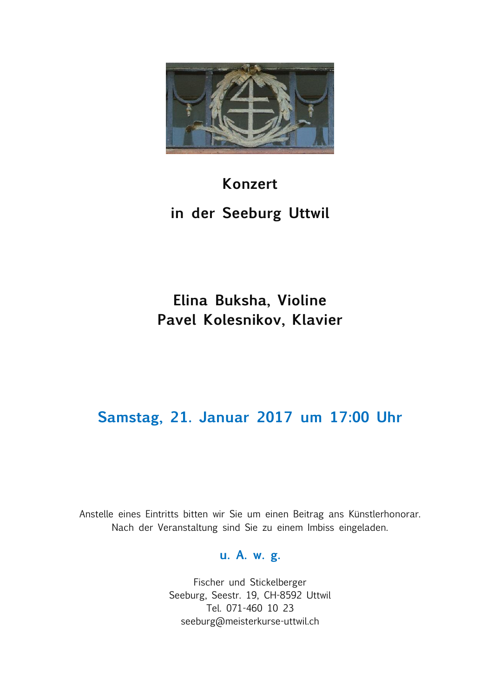

### **Konzert**

# **in der Seeburg Uttwil**

# **Elina Buksha, Violine Pavel Kolesnikov, Klavier**

## **Samstag, 21. Januar 2017 um 17:00 Uhr**

Anstelle eines Eintritts bitten wir Sie um einen Beitrag ans Künstlerhonorar. Nach der Veranstaltung sind Sie zu einem Imbiss eingeladen.

#### **u. A. w. g.**

Fischer und Stickelberger Seeburg, Seestr. 19, CH-8592 Uttwil Tel. 071-460 10 23 seeburg@meisterkurse-uttwil.ch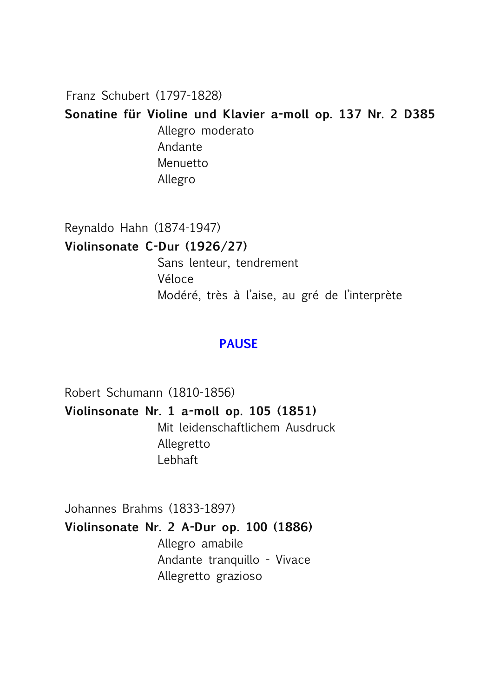Franz Schubert (1797-1828)

**Sonatine für Violine und Klavier a-moll op. 137 Nr. 2 D385**

Allegro moderato Andante Menuetto Allegro

Reynaldo Hahn (1874-1947)

**Violinsonate C-Dur (1926/27)**

Sans lenteur, tendrement Véloce Modéré, très à l'aise, au gré de l'interprète

### **PAUSE**

Robert Schumann (1810-1856) **Violinsonate Nr. 1 a-moll op. 105 (1851)** Mit leidenschaftlichem Ausdruck Allegretto Lebhaft

Johannes Brahms (1833-1897)

### **Violinsonate Nr. 2 A-Dur op. 100 (1886)**

Allegro amabile Andante tranquillo - Vivace Allegretto grazioso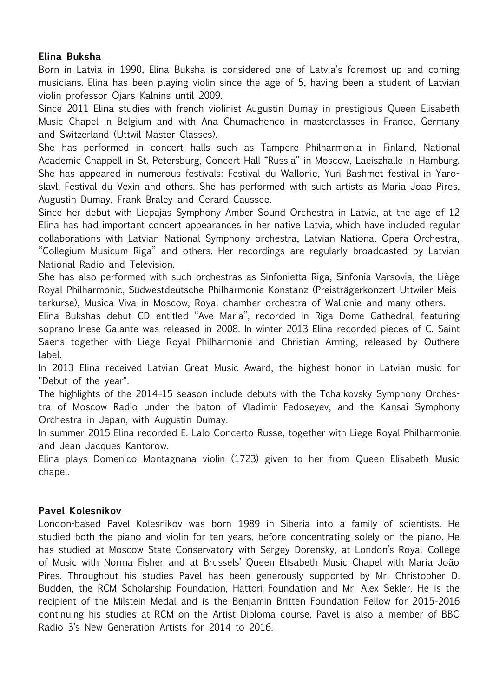#### **Elina Buksha**

Born in Latvia in 1990, Elina Buksha is considered one of Latvia's foremost up and coming musicians. Elina has been playing violin since the age of 5, having been a student of Latvian violin professor Ojars Kalnins until 2009.

Since 2011 Elina studies with french violinist Augustin Dumay in prestigious Queen Elisabeth Music Chapel in Belgium and with Ana Chumachenco in masterclasses in France, Germany and Switzerland (Uttwil Master Classes).

She has performed in concert halls such as Tampere Philharmonia in Finland, National Academic Chappell in St. Petersburg, Concert Hall "Russia" in Moscow, Laeiszhalle in Hamburg. She has appeared in numerous festivals: Festival du Wallonie, Yuri Bashmet festival in Yaroslavl, Festival du Vexin and others. She has performed with such artists as Maria Joao Pires, Augustin Dumay, Frank Braley and Gerard Caussee.

Since her debut with Liepajas Symphony Amber Sound Orchestra in Latvia, at the age of 12 Elina has had important concert appearances in her native Latvia, which have included regular collaborations with Latvian National Symphony orchestra, Latvian National Opera Orchestra, "Collegium Musicum Riga" and others. Her recordings are regularly broadcasted by Latvian National Radio and Television.

She has also performed with such orchestras as Sinfonietta Riga, Sinfonia Varsovia, the Liège Royal Philharmonic, Südwestdeutsche Philharmonie Konstanz (Preisträgerkonzert Uttwiler Meisterkurse), Musica Viva in Moscow, Royal chamber orchestra of Wallonie and many others.

Elina Bukshas debut CD entitled "Ave Maria", recorded in Riga Dome Cathedral, featuring soprano Inese Galante was released in 2008. In winter 2013 Elina recorded pieces of C. Saint Saens together with Liege Royal Philharmonie and Christian Arming, released by Outhere label.

In 2013 Elina received Latvian Great Music Award, the highest honor in Latvian music for "Debut of the year".

The highlights of the 2014–15 season include debuts with the Tchaikovsky Symphony Orchestra of Moscow Radio under the baton of Vladimir Fedoseyev, and the Kansai Symphony Orchestra in Japan, with Augustin Dumay.

In summer 2015 Elina recorded E. Lalo Concerto Russe, together with Liege Royal Philharmonie and Jean Jacques Kantorow.

Elina plays Domenico Montagnana violin (1723) given to her from Queen Elisabeth Music chapel.

#### **Pavel Kolesnikov**

London-based Pavel Kolesnikov was born 1989 in Siberia into a family of scientists. He studied both the piano and violin for ten years, before concentrating solely on the piano. He has studied at Moscow State Conservatory with Sergey Dorensky, at London's Royal College of Music with Norma Fisher and at Brussels' Queen Elisabeth Music Chapel with Maria João Pires. Throughout his studies Pavel has been generously supported by Mr. Christopher D. Budden, the RCM Scholarship Foundation, Hattori Foundation and Mr. Alex Sekler. He is the recipient of the Milstein Medal and is the Benjamin Britten Foundation Fellow for 2015-2016 continuing his studies at RCM on the Artist Diploma course. Pavel is also a member of BBC Radio 3's New Generation Artists for 2014 to 2016.